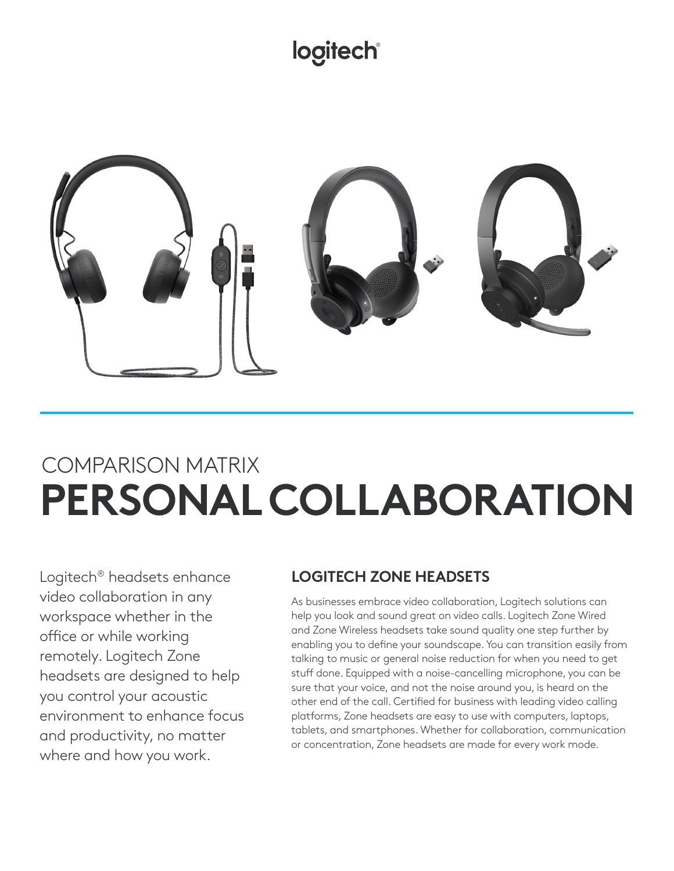## **logitech®**



## COMPARISON MATRIX **PERSONAL COLLABORATION**

Logitech® headsets enhance video collaboration in any workspace whether in the office or while working remotely. Logitech Zone headsets are designed to help you control your acoustic environment to enhance focus and productivity, no matter where and how you work.

## **LOGITECH ZONE HEADSETS**

As businesses embrace video collaboration, Logitech solutions can help you look and sound great on video calls. Logitech Zone Wired and Zone Wireless headsets take sound quality one step further by enabling you to define your soundscape. You can transition easily from talking to music or general noise reduction for when you need to get stuff done. Equipped with a noise-cancelling microphone, you can be sure that your voice, and not the noise around you, is heard on the other end of the call. Certified for business with leading video calling platforms, Zone headsets are easy to use with computers, laptops, tablets, and smartphones. Whether for collaboration, communication or concentration, Zone headsets are made for every work mode.